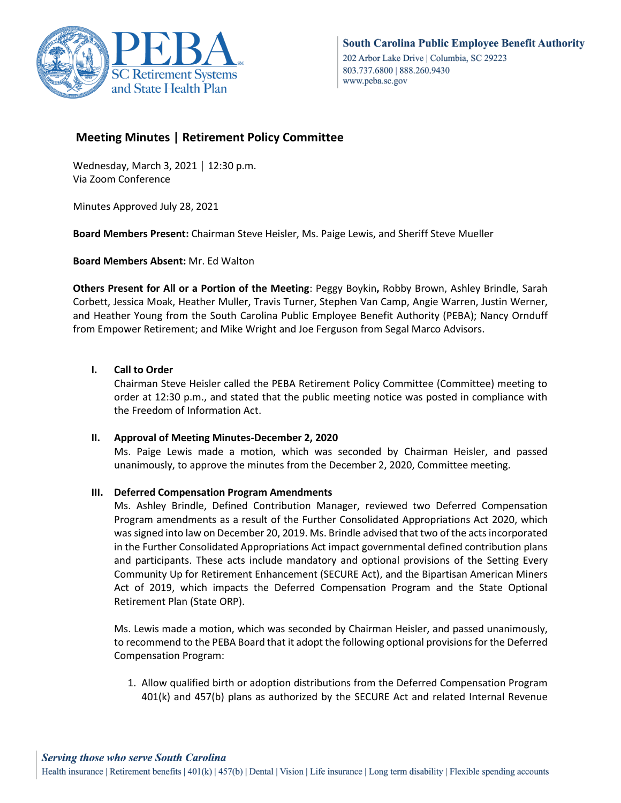

# **Meeting Minutes | Retirement Policy Committee**

Wednesday, March 3, 2021 │ 12:30 p.m. Via Zoom Conference

Minutes Approved July 28, 2021

**Board Members Present:** Chairman Steve Heisler, Ms. Paige Lewis, and Sheriff Steve Mueller

**Board Members Absent:** Mr. Ed Walton

**Others Present for All or a Portion of the Meeting**: Peggy Boykin**,** Robby Brown, Ashley Brindle, Sarah Corbett, Jessica Moak, Heather Muller, Travis Turner, Stephen Van Camp, Angie Warren, Justin Werner, and Heather Young from the South Carolina Public Employee Benefit Authority (PEBA); Nancy Ornduff from Empower Retirement; and Mike Wright and Joe Ferguson from Segal Marco Advisors.

# **I. Call to Order**

Chairman Steve Heisler called the PEBA Retirement Policy Committee (Committee) meeting to order at 12:30 p.m., and stated that the public meeting notice was posted in compliance with the Freedom of Information Act.

## **II. Approval of Meeting Minutes-December 2, 2020**

Ms. Paige Lewis made a motion, which was seconded by Chairman Heisler, and passed unanimously, to approve the minutes from the December 2, 2020, Committee meeting.

## **III. Deferred Compensation Program Amendments**

Ms. Ashley Brindle, Defined Contribution Manager, reviewed two Deferred Compensation Program amendments as a result of the Further Consolidated Appropriations Act 2020, which was signed into law on December 20, 2019. Ms. Brindle advised that two of the acts incorporated in the Further Consolidated Appropriations Act impact governmental defined contribution plans and participants. These acts include mandatory and optional provisions of the Setting Every Community Up for Retirement Enhancement (SECURE Act), and the Bipartisan American Miners Act of 2019, which impacts the Deferred Compensation Program and the State Optional Retirement Plan (State ORP).

Ms. Lewis made a motion, which was seconded by Chairman Heisler, and passed unanimously, to recommend to the PEBA Board that it adopt the following optional provisions for the Deferred Compensation Program:

1. Allow qualified birth or adoption distributions from the Deferred Compensation Program 401(k) and 457(b) plans as authorized by the SECURE Act and related Internal Revenue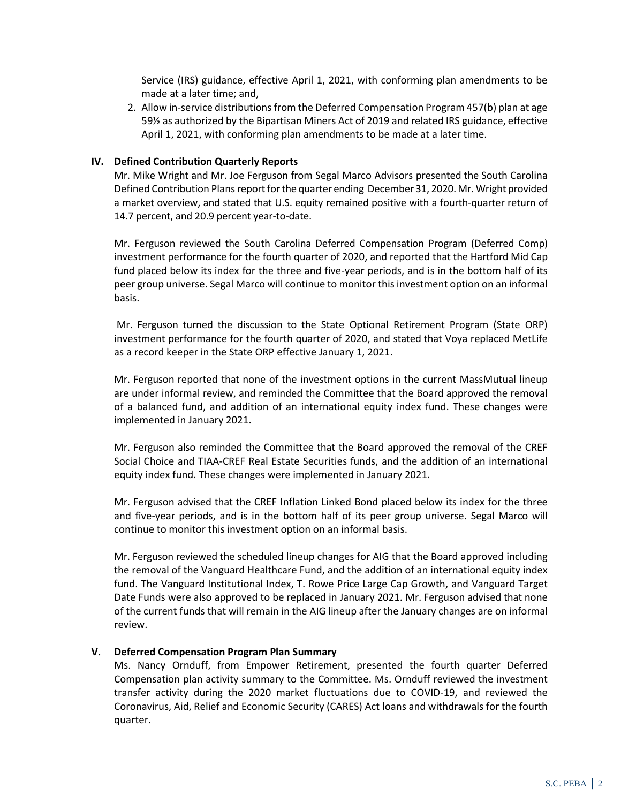Service (IRS) guidance, effective April 1, 2021, with conforming plan amendments to be made at a later time; and,

2. Allow in-service distributions from the Deferred Compensation Program 457(b) plan at age 59½ as authorized by the Bipartisan Miners Act of 2019 and related IRS guidance, effective April 1, 2021, with conforming plan amendments to be made at a later time.

#### **IV. Defined Contribution Quarterly Reports**

Mr. Mike Wright and Mr. Joe Ferguson from Segal Marco Advisors presented the South Carolina Defined Contribution Plans report for the quarter ending December 31, 2020. Mr. Wright provided a market overview, and stated that U.S. equity remained positive with a fourth-quarter return of 14.7 percent, and 20.9 percent year-to-date.

Mr. Ferguson reviewed the South Carolina Deferred Compensation Program (Deferred Comp) investment performance for the fourth quarter of 2020, and reported that the Hartford Mid Cap fund placed below its index for the three and five-year periods, and is in the bottom half of its peer group universe. Segal Marco will continue to monitor this investment option on an informal basis.

Mr. Ferguson turned the discussion to the State Optional Retirement Program (State ORP) investment performance for the fourth quarter of 2020, and stated that Voya replaced MetLife as a record keeper in the State ORP effective January 1, 2021.

Mr. Ferguson reported that none of the investment options in the current MassMutual lineup are under informal review, and reminded the Committee that the Board approved the removal of a balanced fund, and addition of an international equity index fund. These changes were implemented in January 2021.

Mr. Ferguson also reminded the Committee that the Board approved the removal of the CREF Social Choice and TIAA-CREF Real Estate Securities funds, and the addition of an international equity index fund. These changes were implemented in January 2021.

Mr. Ferguson advised that the CREF Inflation Linked Bond placed below its index for the three and five-year periods, and is in the bottom half of its peer group universe. Segal Marco will continue to monitor this investment option on an informal basis.

Mr. Ferguson reviewed the scheduled lineup changes for AIG that the Board approved including the removal of the Vanguard Healthcare Fund, and the addition of an international equity index fund. The Vanguard Institutional Index, T. Rowe Price Large Cap Growth, and Vanguard Target Date Funds were also approved to be replaced in January 2021. Mr. Ferguson advised that none of the current funds that will remain in the AIG lineup after the January changes are on informal review.

#### **V. Deferred Compensation Program Plan Summary**

Ms. Nancy Ornduff, from Empower Retirement, presented the fourth quarter Deferred Compensation plan activity summary to the Committee. Ms. Ornduff reviewed the investment transfer activity during the 2020 market fluctuations due to COVID-19, and reviewed the Coronavirus, Aid, Relief and Economic Security (CARES) Act loans and withdrawals for the fourth quarter.